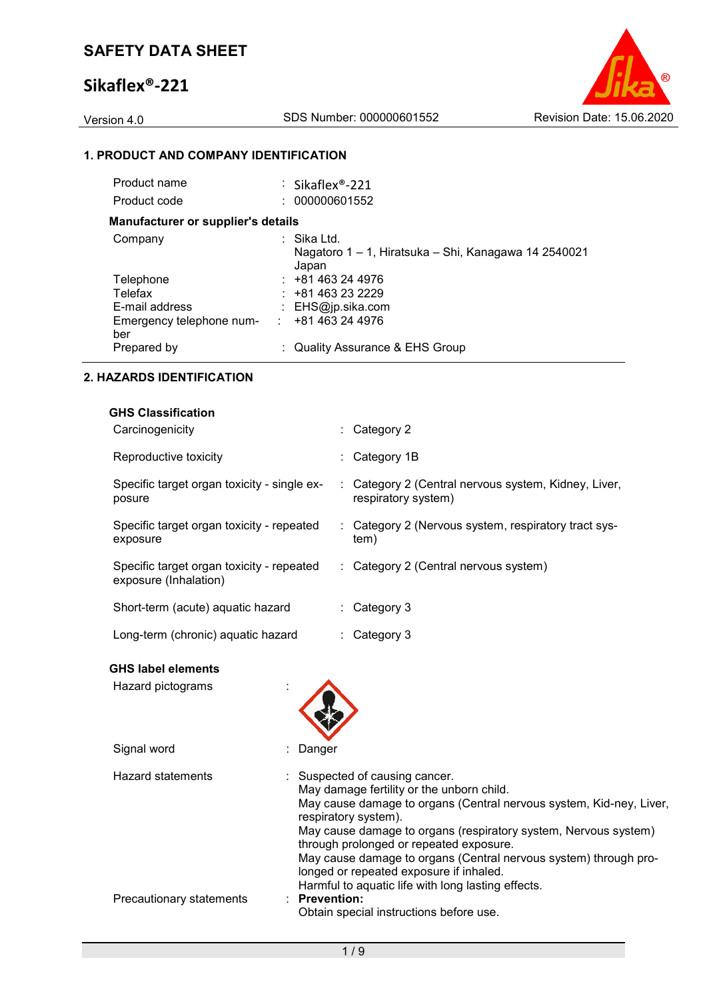

## **1. PRODUCT AND COMPANY IDENTIFICATION**

| Product name                              | : Sikaflex <sup>®</sup> -221                                                 |  |
|-------------------------------------------|------------------------------------------------------------------------------|--|
| Product code                              | : 000000601552                                                               |  |
| <b>Manufacturer or supplier's details</b> |                                                                              |  |
| Company                                   | : Sika Ltd.<br>Nagatoro 1 – 1, Hiratsuka – Shi, Kanagawa 14 2540021<br>Japan |  |
| Telephone                                 | $: +81463244976$                                                             |  |
| Telefax                                   | $: +81463232229$                                                             |  |
| E-mail address                            | : $EHS@ip.sika.com$                                                          |  |
| Emergency telephone num-<br>ber           | +81 463 24 4976<br>÷.                                                        |  |
| Prepared by                               | : Quality Assurance & EHS Group                                              |  |
|                                           |                                                                              |  |

## **2. HAZARDS IDENTIFICATION**

| <b>GHS Classification</b>                                          |                                                                             |
|--------------------------------------------------------------------|-----------------------------------------------------------------------------|
| Carcinogenicity                                                    | $\therefore$ Category 2                                                     |
| Reproductive toxicity                                              | $\therefore$ Category 1B                                                    |
| Specific target organ toxicity - single ex-<br>posure              | : Category 2 (Central nervous system, Kidney, Liver,<br>respiratory system) |
| Specific target organ toxicity - repeated<br>exposure              | : Category 2 (Nervous system, respiratory tract sys-<br>tem)                |
| Specific target organ toxicity - repeated<br>exposure (Inhalation) | : Category 2 (Central nervous system)                                       |
| Short-term (acute) aquatic hazard                                  | $\therefore$ Category 3                                                     |
| Long-term (chronic) aquatic hazard                                 | $\therefore$ Category 3                                                     |

## **GHS label elements**

| Hazard pictograms        |                                                                                                                                                                                                                                                                                                                                                                                                                                                               |
|--------------------------|---------------------------------------------------------------------------------------------------------------------------------------------------------------------------------------------------------------------------------------------------------------------------------------------------------------------------------------------------------------------------------------------------------------------------------------------------------------|
| Signal word              | Danger                                                                                                                                                                                                                                                                                                                                                                                                                                                        |
| <b>Hazard statements</b> | : Suspected of causing cancer.<br>May damage fertility or the unborn child.<br>May cause damage to organs (Central nervous system, Kid-ney, Liver,<br>respiratory system).<br>May cause damage to organs (respiratory system, Nervous system)<br>through prolonged or repeated exposure.<br>May cause damage to organs (Central nervous system) through pro-<br>longed or repeated exposure if inhaled.<br>Harmful to aquatic life with long lasting effects. |
| Precautionary statements | $:$ Prevention:<br>Obtain special instructions before use.                                                                                                                                                                                                                                                                                                                                                                                                    |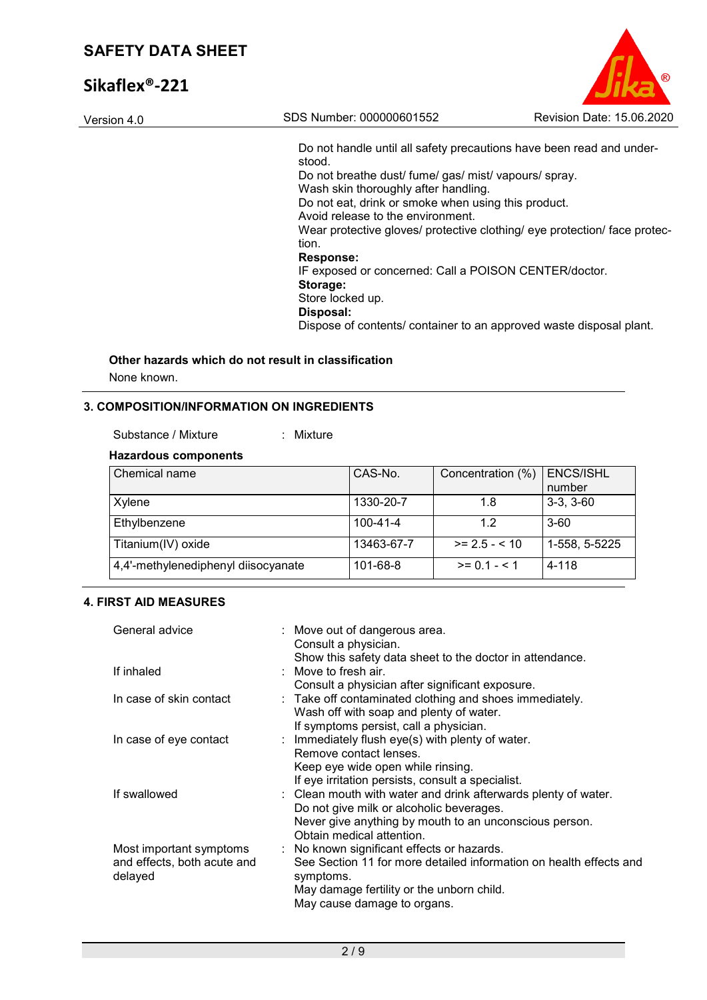| Version 4.0 | SDS Number: 000000601552                                                  | Revision Date: 15.06.2020 |
|-------------|---------------------------------------------------------------------------|---------------------------|
|             |                                                                           |                           |
|             | Do not handle until all safety precautions have been read and under-      |                           |
|             | stood.                                                                    |                           |
|             | Do not breathe dust/ fume/ gas/ mist/ vapours/ spray.                     |                           |
|             | Wash skin thoroughly after handling.                                      |                           |
|             | Do not eat, drink or smoke when using this product.                       |                           |
|             | Avoid release to the environment.                                         |                           |
|             | Wear protective gloves/ protective clothing/ eye protection/ face protec- |                           |
|             | tion.                                                                     |                           |
|             | <b>Response:</b>                                                          |                           |
|             | IF exposed or concerned: Call a POISON CENTER/doctor.                     |                           |
|             | Storage:                                                                  |                           |
|             | Store locked up.                                                          |                           |
|             | Disposal:                                                                 |                           |
|             | Dispose of contents/ container to an approved waste disposal plant.       |                           |
|             |                                                                           |                           |

 $\circ$ 

# **Other hazards which do not result in classification**

None known.

## **3. COMPOSITION/INFORMATION ON INGREDIENTS**

Substance / Mixture : Mixture

## **Hazardous components**

| Chemical name                       | CAS-No.    | Concentration (%) | <b>ENCS/ISHL</b><br>number |
|-------------------------------------|------------|-------------------|----------------------------|
|                                     |            |                   |                            |
| Xylene                              | 1330-20-7  | 1.8               | $3-3, 3-60$                |
| Ethylbenzene                        | 100-41-4   | 1.2               | $3-60$                     |
| Titanium(IV) oxide                  | 13463-67-7 | $>= 2.5 - 10$     | 1-558, 5-5225              |
| 4,4'-methylenediphenyl diisocyanate | 101-68-8   | $>= 0.1 - 5.1$    | 4-118                      |

## **4. FIRST AID MEASURES**

| General advice              | : Move out of dangerous area.<br>Consult a physician.              |
|-----------------------------|--------------------------------------------------------------------|
|                             | Show this safety data sheet to the doctor in attendance.           |
| If inhaled                  | $\therefore$ Move to fresh air.                                    |
|                             | Consult a physician after significant exposure.                    |
| In case of skin contact     | : Take off contaminated clothing and shoes immediately.            |
|                             | Wash off with soap and plenty of water.                            |
|                             | If symptoms persist, call a physician.                             |
| In case of eye contact      | : Immediately flush eye(s) with plenty of water.                   |
|                             | Remove contact lenses.                                             |
|                             | Keep eye wide open while rinsing.                                  |
|                             | If eye irritation persists, consult a specialist.                  |
| If swallowed                | : Clean mouth with water and drink afterwards plenty of water.     |
|                             | Do not give milk or alcoholic beverages.                           |
|                             | Never give anything by mouth to an unconscious person.             |
|                             | Obtain medical attention.                                          |
| Most important symptoms     | : No known significant effects or hazards.                         |
| and effects, both acute and | See Section 11 for more detailed information on health effects and |
| delayed                     | symptoms.                                                          |
|                             | May damage fertility or the unborn child.                          |
|                             | May cause damage to organs.                                        |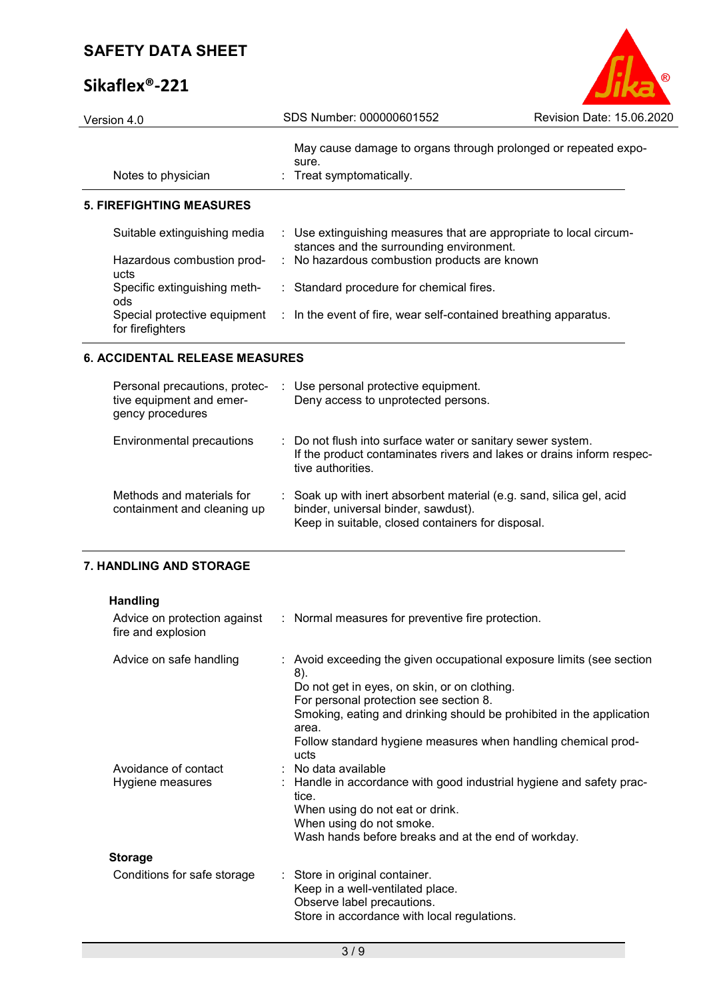# **Sikaflex®-221**

| Version 4.0                         | SDS Number: 000000601552                                                                                       | Revision Date: 15.06.2020 |
|-------------------------------------|----------------------------------------------------------------------------------------------------------------|---------------------------|
| Notes to physician                  | May cause damage to organs through prolonged or repeated expo-<br>sure.<br>: Treat symptomatically.            |                           |
| <b>5. FIREFIGHTING MEASURES</b>     |                                                                                                                |                           |
| Suitable extinguishing media        | : Use extinguishing measures that are appropriate to local circum-<br>stances and the surrounding environment. |                           |
| Hazardous combustion prod-<br>ucts  | : No hazardous combustion products are known                                                                   |                           |
| Specific extinguishing meth-<br>ods | : Standard procedure for chemical fires.                                                                       |                           |
| for firefighters                    | Special protective equipment : In the event of fire, wear self-contained breathing apparatus.                  |                           |
|                                     |                                                                                                                |                           |

 $\circ$ 

## **6. ACCIDENTAL RELEASE MEASURES**

| Personal precautions, protec-<br>tive equipment and emer-<br>gency procedures | : Use personal protective equipment.<br>Deny access to unprotected persons.                                                                                      |
|-------------------------------------------------------------------------------|------------------------------------------------------------------------------------------------------------------------------------------------------------------|
| Environmental precautions                                                     | : Do not flush into surface water or sanitary sewer system.<br>If the product contaminates rivers and lakes or drains inform respec-<br>tive authorities.        |
| Methods and materials for<br>containment and cleaning up                      | : Soak up with inert absorbent material (e.g. sand, silica gel, acid<br>binder, universal binder, sawdust).<br>Keep in suitable, closed containers for disposal. |

## **7. HANDLING AND STORAGE**

| <b>Handling</b>                                    |                                                                                                                                                                                                                                                                                                                                  |
|----------------------------------------------------|----------------------------------------------------------------------------------------------------------------------------------------------------------------------------------------------------------------------------------------------------------------------------------------------------------------------------------|
| Advice on protection against<br>fire and explosion | : Normal measures for preventive fire protection.                                                                                                                                                                                                                                                                                |
| Advice on safe handling                            | : Avoid exceeding the given occupational exposure limits (see section<br>8).<br>Do not get in eyes, on skin, or on clothing.<br>For personal protection see section 8.<br>Smoking, eating and drinking should be prohibited in the application<br>area.<br>Follow standard hygiene measures when handling chemical prod-<br>ucts |
| Avoidance of contact<br>Hygiene measures           | : No data available<br>: Handle in accordance with good industrial hygiene and safety prac-<br>tice.<br>When using do not eat or drink.<br>When using do not smoke.<br>Wash hands before breaks and at the end of workday.                                                                                                       |
| <b>Storage</b>                                     |                                                                                                                                                                                                                                                                                                                                  |
| Conditions for safe storage                        | : Store in original container.<br>Keep in a well-ventilated place.<br>Observe label precautions.<br>Store in accordance with local regulations.                                                                                                                                                                                  |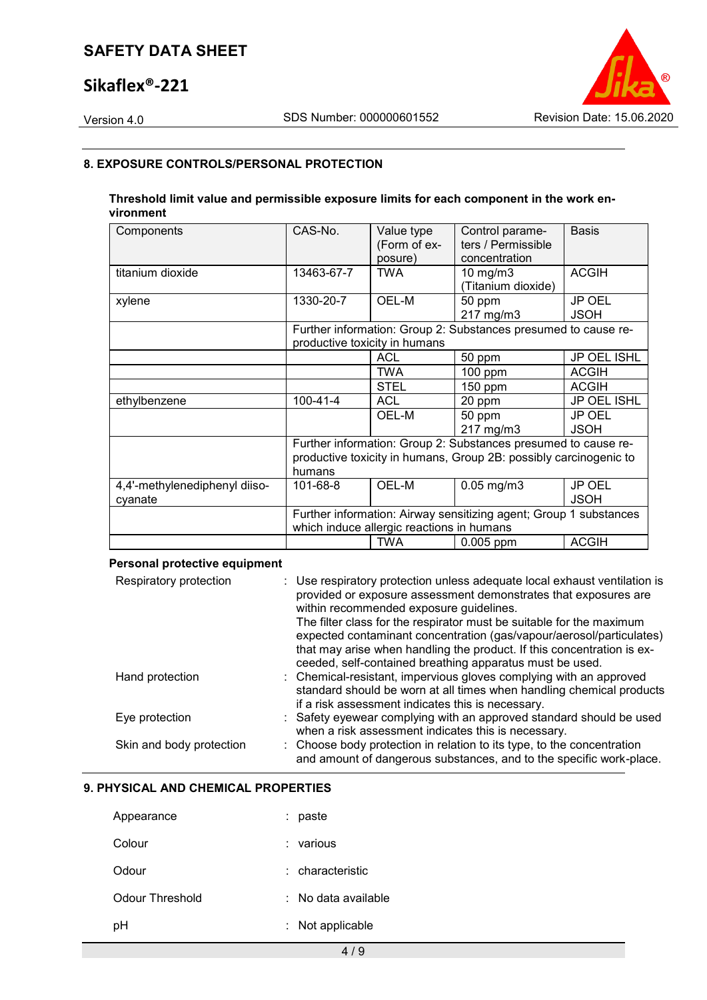# **Sikaflex®-221**



## **8. EXPOSURE CONTROLS/PERSONAL PROTECTION**

## **Threshold limit value and permissible exposure limits for each component in the work environment**

| Components                    | CAS-No.                                                                                                        | Value type<br>(Form of ex-<br>posure) | Control parame-<br>ters / Permissible<br>concentration            | <b>Basis</b>                 |
|-------------------------------|----------------------------------------------------------------------------------------------------------------|---------------------------------------|-------------------------------------------------------------------|------------------------------|
| titanium dioxide              | 13463-67-7                                                                                                     | <b>TWA</b>                            | $10 \text{ mg/m}$<br>(Titanium dioxide)                           | <b>ACGIH</b>                 |
| xylene                        | 1330-20-7                                                                                                      | OEL-M                                 | 50 ppm<br>217 mg/m3                                               | JP OEL<br><b>JSOH</b>        |
|                               |                                                                                                                | productive toxicity in humans         | Further information: Group 2: Substances presumed to cause re-    |                              |
|                               |                                                                                                                | <b>ACL</b>                            | 50 ppm                                                            | <b>JP OEL ISHL</b>           |
|                               |                                                                                                                | <b>TWA</b>                            | 100 ppm                                                           | <b>ACGIH</b>                 |
|                               |                                                                                                                | <b>STEL</b>                           | 150 ppm                                                           | <b>ACGIH</b>                 |
| ethylbenzene                  | $100 - 41 - 4$                                                                                                 | <b>ACL</b>                            | 20 ppm                                                            | JP OEL ISHL                  |
|                               |                                                                                                                | OEL-M                                 | 50 ppm<br>217 mg/m3                                               | <b>JP OEL</b><br><b>JSOH</b> |
|                               |                                                                                                                |                                       | Further information: Group 2: Substances presumed to cause re-    |                              |
|                               | humans                                                                                                         |                                       | productive toxicity in humans, Group 2B: possibly carcinogenic to |                              |
| 4,4'-methylenediphenyl diiso- | 101-68-8                                                                                                       | OEL-M                                 | $0.05$ mg/m $3$                                                   | JP OEL                       |
| cyanate                       |                                                                                                                |                                       |                                                                   | <b>JSOH</b>                  |
|                               | Further information: Airway sensitizing agent; Group 1 substances<br>which induce allergic reactions in humans |                                       |                                                                   |                              |
|                               |                                                                                                                | <b>TWA</b>                            | $0.005$ ppm                                                       | <b>ACGIH</b>                 |

## **Personal protective equipment**

| Respiratory protection   | : Use respiratory protection unless adequate local exhaust ventilation is<br>provided or exposure assessment demonstrates that exposures are<br>within recommended exposure guidelines.<br>The filter class for the respirator must be suitable for the maximum<br>expected contaminant concentration (gas/vapour/aerosol/particulates)<br>that may arise when handling the product. If this concentration is ex-<br>ceeded, self-contained breathing apparatus must be used. |
|--------------------------|-------------------------------------------------------------------------------------------------------------------------------------------------------------------------------------------------------------------------------------------------------------------------------------------------------------------------------------------------------------------------------------------------------------------------------------------------------------------------------|
| Hand protection          | : Chemical-resistant, impervious gloves complying with an approved<br>standard should be worn at all times when handling chemical products<br>if a risk assessment indicates this is necessary.                                                                                                                                                                                                                                                                               |
| Eye protection           | : Safety eyewear complying with an approved standard should be used<br>when a risk assessment indicates this is necessary.                                                                                                                                                                                                                                                                                                                                                    |
| Skin and body protection | : Choose body protection in relation to its type, to the concentration<br>and amount of dangerous substances, and to the specific work-place.                                                                                                                                                                                                                                                                                                                                 |

## **9. PHYSICAL AND CHEMICAL PROPERTIES**

| Appearance      | paste                          |
|-----------------|--------------------------------|
| Colour          | : various                      |
| Odour           | $:$ characteristic             |
| Odour Threshold | $\therefore$ No data available |
| рH              | : Not applicable               |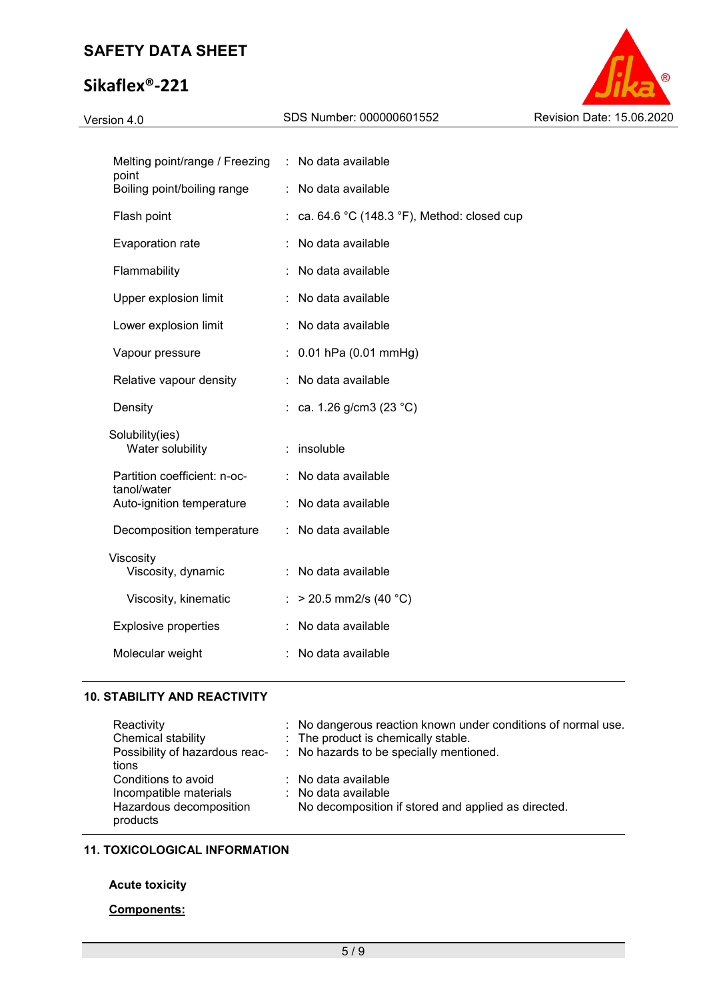# **Sikaflex®-221**



| Melting point/range / Freezing<br>point     | No data available<br>÷.                    |  |
|---------------------------------------------|--------------------------------------------|--|
| Boiling point/boiling range                 | No data available<br>t.                    |  |
| Flash point                                 | ca. 64.6 °C (148.3 °F), Method: closed cup |  |
| Evaporation rate                            | No data available                          |  |
| Flammability                                | No data available                          |  |
| Upper explosion limit                       | No data available                          |  |
| Lower explosion limit                       | No data available                          |  |
| Vapour pressure                             | 0.01 hPa (0.01 mmHg)                       |  |
| Relative vapour density                     | No data available<br>t.                    |  |
| Density                                     | : ca. 1.26 g/cm3 (23 °C)                   |  |
| Solubility(ies)<br>Water solubility         | insoluble                                  |  |
| Partition coefficient: n-oc-<br>tanol/water | No data available                          |  |
| Auto-ignition temperature                   | No data available                          |  |
| Decomposition temperature                   | No data available                          |  |
| Viscosity<br>Viscosity, dynamic             | No data available                          |  |
| Viscosity, kinematic                        | $>$ 20.5 mm2/s (40 °C)                     |  |
| <b>Explosive properties</b>                 | No data available                          |  |
| Molecular weight                            | No data available                          |  |
|                                             |                                            |  |

## **10. STABILITY AND REACTIVITY**

| Reactivity                          | : No dangerous reaction known under conditions of normal use. |
|-------------------------------------|---------------------------------------------------------------|
| Chemical stability                  | : The product is chemically stable.                           |
| Possibility of hazardous reac-      | : No hazards to be specially mentioned.                       |
| tions                               |                                                               |
| Conditions to avoid                 | : No data available                                           |
| Incompatible materials              | $\therefore$ No data available                                |
| Hazardous decomposition<br>products | No decomposition if stored and applied as directed.           |

## **11. TOXICOLOGICAL INFORMATION**

## **Acute toxicity**

## **Components:**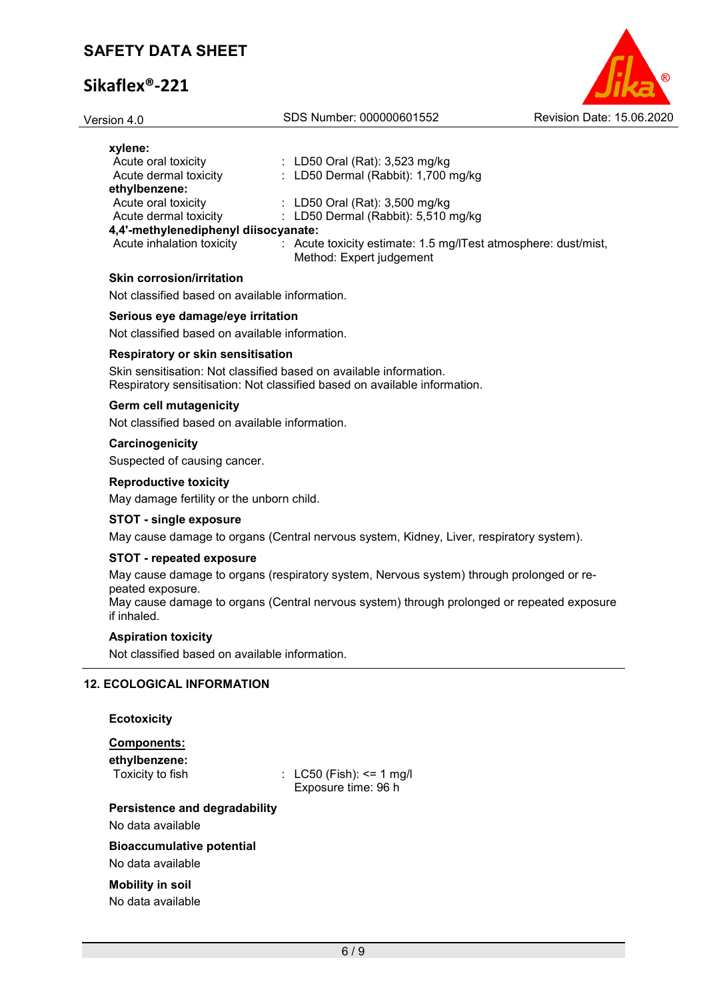| Version 4.0                                    | SDS Number: 000000601552                                                                                                                                                                                                       | Revision Date: 15.06.2020 |
|------------------------------------------------|--------------------------------------------------------------------------------------------------------------------------------------------------------------------------------------------------------------------------------|---------------------------|
| xylene:                                        |                                                                                                                                                                                                                                |                           |
| Acute oral toxicity                            | : LD50 Oral (Rat): $3,523$ mg/kg                                                                                                                                                                                               |                           |
| Acute dermal toxicity                          | : LD50 Dermal (Rabbit): 1,700 mg/kg                                                                                                                                                                                            |                           |
| ethylbenzene:                                  |                                                                                                                                                                                                                                |                           |
| Acute oral toxicity                            | : LD50 Oral (Rat): 3,500 mg/kg                                                                                                                                                                                                 |                           |
| Acute dermal toxicity                          | : LD50 Dermal (Rabbit): 5,510 mg/kg                                                                                                                                                                                            |                           |
| 4,4'-methylenediphenyl diisocyanate:           |                                                                                                                                                                                                                                |                           |
| Acute inhalation toxicity                      | : Acute toxicity estimate: 1.5 mg/ITest atmosphere: dust/mist,<br>Method: Expert judgement                                                                                                                                     |                           |
| <b>Skin corrosion/irritation</b>               |                                                                                                                                                                                                                                |                           |
| Not classified based on available information. |                                                                                                                                                                                                                                |                           |
| Serious eye damage/eye irritation              |                                                                                                                                                                                                                                |                           |
| Not classified based on available information. |                                                                                                                                                                                                                                |                           |
| Respiratory or skin sensitisation              |                                                                                                                                                                                                                                |                           |
| $\sim$                                         | the second contract of the contract of the contract of the contract of the contract of the contract of the contract of the contract of the contract of the contract of the contract of the contract of the contract of the con |                           |

Skin sensitisation: Not classified based on available information. Respiratory sensitisation: Not classified based on available information.

## **Germ cell mutagenicity**

Not classified based on available information.

#### **Carcinogenicity**

Suspected of causing cancer.

## **Reproductive toxicity**

May damage fertility or the unborn child.

## **STOT - single exposure**

May cause damage to organs (Central nervous system, Kidney, Liver, respiratory system).

## **STOT - repeated exposure**

May cause damage to organs (respiratory system, Nervous system) through prolonged or repeated exposure.

May cause damage to organs (Central nervous system) through prolonged or repeated exposure if inhaled.

## **Aspiration toxicity**

Not classified based on available information.

## **12. ECOLOGICAL INFORMATION**

| <b>Ecotoxicity</b> |
|--------------------|
| <b>Components:</b> |

| ethylbenzene:<br>Toxicity to fish                     | : $LC50$ (Fish): <= 1 mg/l<br>Exposure time: 96 h |
|-------------------------------------------------------|---------------------------------------------------|
| Persistence and degradability                         |                                                   |
| No data available                                     |                                                   |
| <b>Bioaccumulative potential</b><br>No data available |                                                   |
| <b>Mobility in soil</b>                               |                                                   |

No data available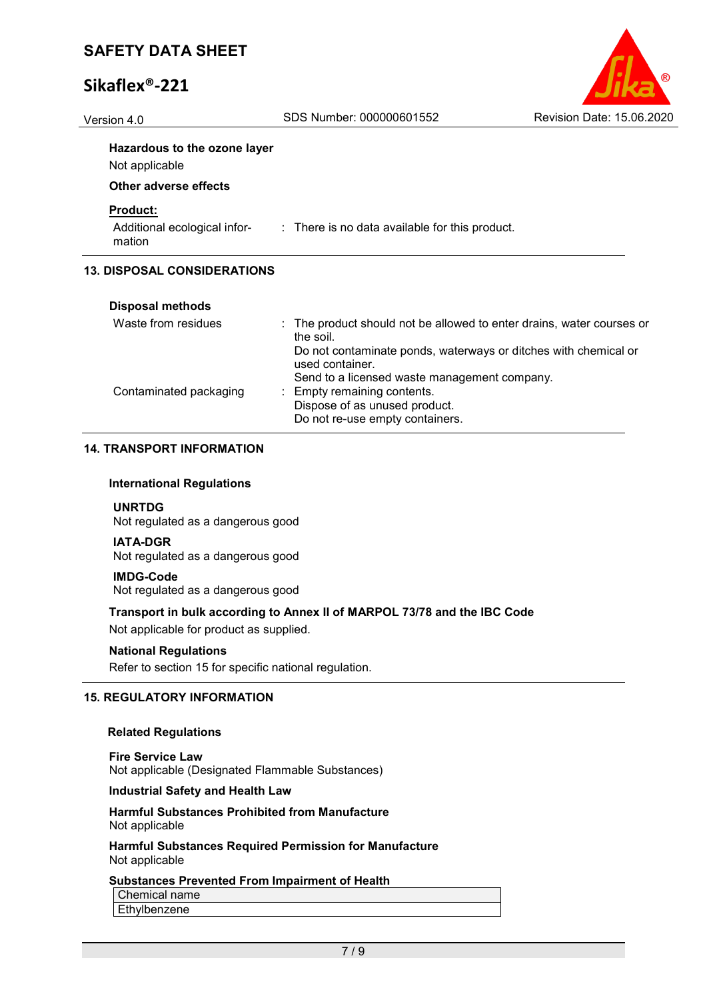

# Version 4.0 SDS Number: 000000601552 Revision Date: 15.06.2020 **Hazardous to the ozone layer** Not applicable **Other adverse effects Product:** Additional ecological infor-: There is no data available for this product. mation **13. DISPOSAL CONSIDERATIONS**

| <b>Disposal methods</b> |                                                                                    |
|-------------------------|------------------------------------------------------------------------------------|
| Waste from residues     | : The product should not be allowed to enter drains, water courses or<br>the soil. |
|                         | Do not contaminate ponds, waterways or ditches with chemical or<br>used container. |
|                         | Send to a licensed waste management company.                                       |
| Contaminated packaging  | : Empty remaining contents.                                                        |
|                         | Dispose of as unused product.                                                      |
|                         | Do not re-use empty containers.                                                    |
|                         |                                                                                    |

## **14. TRANSPORT INFORMATION**

#### **International Regulations**

**UNRTDG** Not regulated as a dangerous good

#### **IATA-DGR**

Not regulated as a dangerous good

#### **IMDG-Code**

Not regulated as a dangerous good

## **Transport in bulk according to Annex II of MARPOL 73/78 and the IBC Code**

Not applicable for product as supplied.

#### **National Regulations**

Refer to section 15 for specific national regulation.

## **15. REGULATORY INFORMATION**

#### **Related Regulations**

**Fire Service Law** Not applicable (Designated Flammable Substances)

## **Industrial Safety and Health Law**

#### **Harmful Substances Prohibited from Manufacture** Not applicable

**Harmful Substances Required Permission for Manufacture** Not applicable

## **Substances Prevented From Impairment of Health**

Chemical name

Ethylbenzene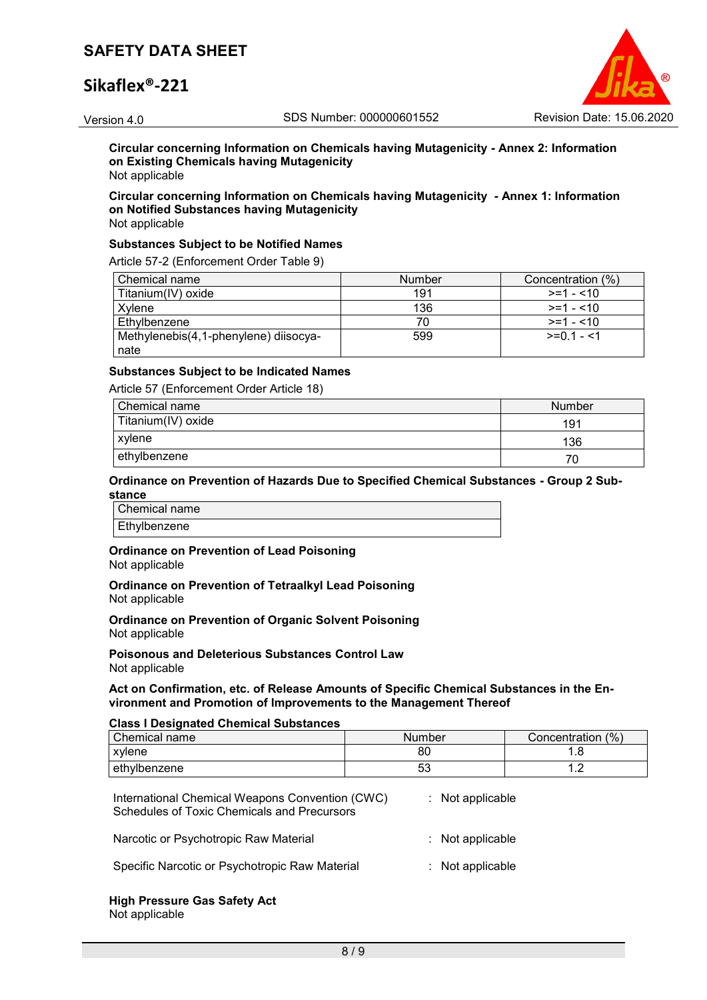# **Sikaflex®-221**



**Circular concerning Information on Chemicals having Mutagenicity - Annex 2: Information on Existing Chemicals having Mutagenicity** Not applicable

## **Circular concerning Information on Chemicals having Mutagenicity - Annex 1: Information on Notified Substances having Mutagenicity**

Not applicable

#### **Substances Subject to be Notified Names**

Article 57-2 (Enforcement Order Table 9)

| Chemical name                         | <b>Number</b> | Concentration (%) |
|---------------------------------------|---------------|-------------------|
| Titanium(IV) oxide                    | 191           | $>=1 - 10$        |
| Xvlene                                | 136           | $>=1 - 10$        |
| Ethylbenzene                          |               | $>=1 - 10$        |
| Methylenebis(4,1-phenylene) diisocya- | 599           | $>=01 - 1$        |
| nate                                  |               |                   |

## **Substances Subject to be Indicated Names**

Article 57 (Enforcement Order Article 18)

| Chemical name      | Number |
|--------------------|--------|
| Titanium(IV) oxide | 191    |
| xylene             | 136    |
| ethylbenzene       | 70     |

#### **Ordinance on Prevention of Hazards Due to Specified Chemical Substances - Group 2 Substance**

Chemical name Ethylbenzene

# **Ordinance on Prevention of Lead Poisoning**

Not applicable

**Ordinance on Prevention of Tetraalkyl Lead Poisoning** Not applicable

**Ordinance on Prevention of Organic Solvent Poisoning** Not applicable

**Poisonous and Deleterious Substances Control Law** Not applicable

#### **Act on Confirmation, etc. of Release Amounts of Specific Chemical Substances in the Environment and Promotion of Improvements to the Management Thereof**

#### **Class I Designated Chemical Substances**

| Chemical name | Number   | Concentration (%) |
|---------------|----------|-------------------|
| xylene        | 80       | ם. ו              |
| ethylbenzene  | гn<br>აა | ▰<br>. . <u>.</u> |

| International Chemical Weapons Convention (CWC)<br><b>Schedules of Toxic Chemicals and Precursors</b> | : Not applicable   |
|-------------------------------------------------------------------------------------------------------|--------------------|
| Narcotic or Psychotropic Raw Material                                                                 | $:$ Not applicable |
| Specific Narcotic or Psychotropic Raw Material                                                        | $:$ Not applicable |

#### **High Pressure Gas Safety Act** Not applicable